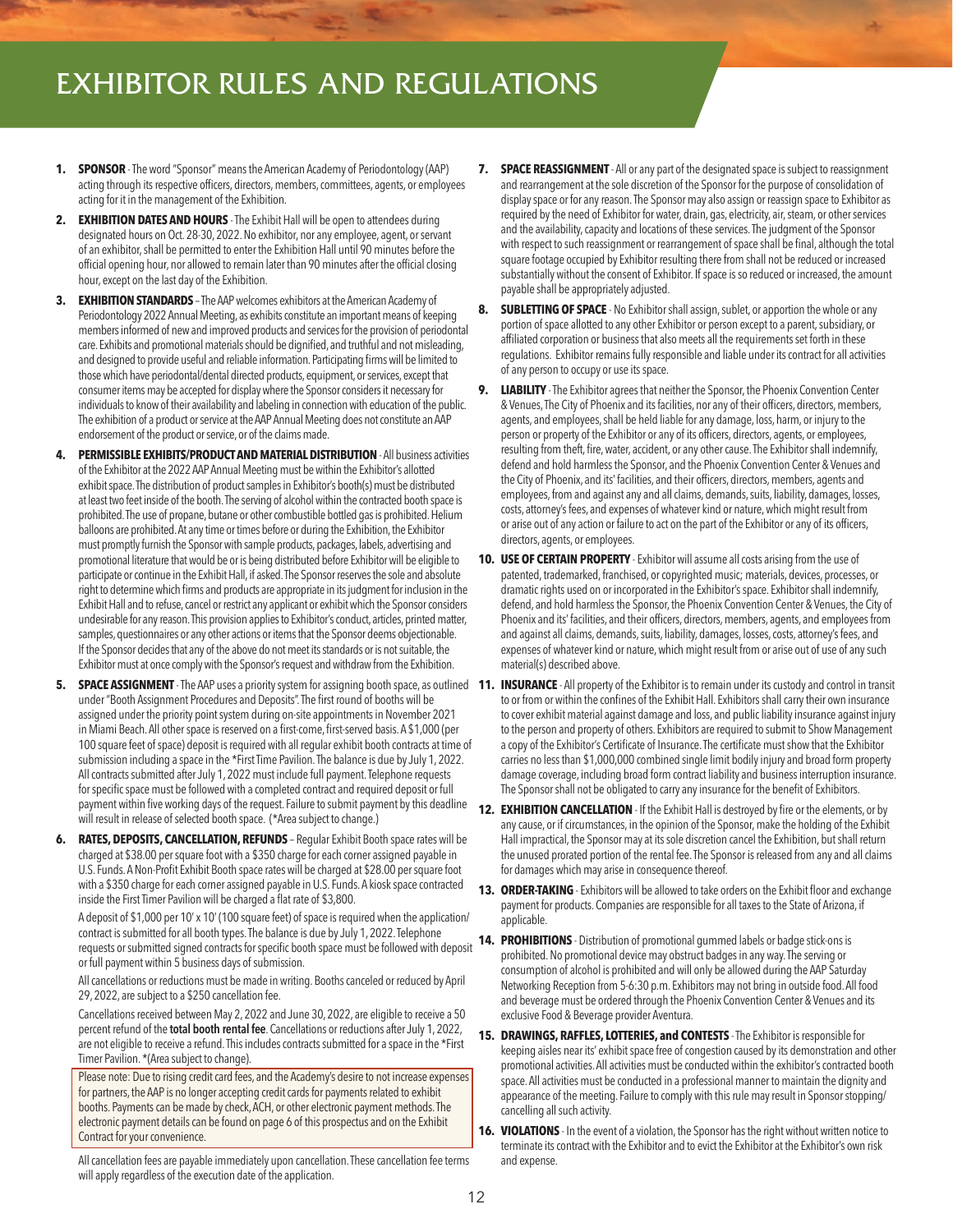## EXHIBITOR RULES AND REGULATIONS

- **1. SPONSOR** The word "Sponsor" means the American Academy of Periodontology (AAP) acting through its respective officers, directors, members, committees, agents, or employees acting for it in the management of the Exhibition.
- **2. EXHIBITION DATES AND HOURS**  The Exhibit Hall will be open to attendees during designated hours on Oct. 28-30, 2022. No exhibitor, nor any employee, agent, or servant of an exhibitor, shall be permitted to enter the Exhibition Hall until 90 minutes before the official opening hour, nor allowed to remain later than 90 minutes after the official closing hour, except on the last day of the Exhibition.
- **3. EXHIBITION STANDARDS** The AAP welcomes exhibitors at the American Academy of Periodontology 2022 Annual Meeting, as exhibits constitute an important means of keeping members informed of new and improved products and services for the provision of periodontal care. Exhibits and promotional materials should be dignified, and truthful and not misleading, and designed to provide useful and reliable information. Participating firms will be limited to those which have periodontal/dental directed products, equipment, or services, except that consumer items may be accepted for display where the Sponsor considers it necessary for individuals to know of their availability and labeling in connection with education of the public. The exhibition of a product or service at the AAP Annual Meeting does not constitute an AAP endorsement of the product or service, or of the claims made.
- **4. PERMISSIBLE EXHIBITS/PRODUCT AND MATERIAL DISTRIBUTION** All business activities of the Exhibitor at the 2022 AAP Annual Meeting must be within the Exhibitor's allotted exhibit space. The distribution of product samples in Exhibitor's booth(s) must be distributed at least two feet inside of the booth. The serving of alcohol within the contracted booth space is prohibited. The use of propane, butane or other combustible bottled gas is prohibited. Helium balloons are prohibited. At any time or times before or during the Exhibition, the Exhibitor must promptly furnish the Sponsor with sample products, packages, labels, advertising and promotional literature that would be or is being distributed before Exhibitor will be eligible to participate or continue in the Exhibit Hall, if asked. The Sponsor reserves the sole and absolute right to determine which firms and products are appropriate in its judgment for inclusion in the Exhibit Hall and to refuse, cancel or restrict any applicant or exhibit which the Sponsor considers undesirable for any reason. This provision applies to Exhibitor's conduct, articles, printed matter, samples, questionnaires or any other actions or items that the Sponsor deems objectionable. If the Sponsor decides that any of the above do not meet its standards or is not suitable, the Exhibitor must at once comply with the Sponsor's request and withdraw from the Exhibition.
- 5. SPACE ASSIGNMENT The AAP uses a priority system for assigning booth space, as outlined 11. INSURANCE All property of the Exhibitor is to remain under its custody and control in transit under "Booth Assignment Procedures and Deposits". The first round of booths will be assigned under the priority point system during on-site appointments in November 2021 in Miami Beach. All other space is reserved on a first-come, first-served basis. A \$1,000 (per 100 square feet of space) deposit is required with all regular exhibit booth contracts at time of submission including a space in the \*First Time Pavilion. The balance is due by July 1, 2022. All contracts submitted after July 1, 2022 must include full payment. Telephone requests for specific space must be followed with a completed contract and required deposit or full payment within five working days of the request. Failure to submit payment by this deadline will result in release of selected booth space. (\*Area subject to change.)
- **6. RATES, DEPOSITS, CANCELLATION, REFUNDS** Regular Exhibit Booth space rates will be charged at \$38.00 per square foot with a \$350 charge for each corner assigned payable in U.S. Funds. A Non-Profit Exhibit Booth space rates will be charged at \$28.00 per square foot with a \$350 charge for each corner assigned payable in U.S. Funds. A kiosk space contracted inside the First Timer Pavilion will be charged a flat rate of \$3,800.

A deposit of \$1,000 per 10' x 10' (100 square feet) of space is required when the application/ contract is submitted for all booth types. The balance is due by July 1, 2022. Telephone requests or submitted signed contracts for specific booth space must be followed with deposit or full payment within 5 business days of submission.

 All cancellations or reductions must be made in writing. Booths canceled or reduced by April 29, 2022, are subject to a \$250 cancellation fee.

 Cancellations received between May 2, 2022 and June 30, 2022, are eligible to receive a 50 percent refund of the **total booth rental fee**. Cancellations or reductions after July 1, 2022, are not eligible to receive a refund. This includes contracts submitted for a space in the \*First Timer Pavilion. \*(Area subject to change).

 Please note: Due to rising credit card fees, and the Academy's desire to not increase expenses for partners, the AAP is no longer accepting credit cards for payments related to exhibit booths. Payments can be made by check, ACH, or other electronic payment methods. The electronic payment details can be found on page 6 of this prospectus and on the Exhibit Contract for your convenience.

 All cancellation fees are payable immediately upon cancellation. These cancellation fee terms will apply regardless of the execution date of the application.

- **7. SPACE REASSIGNMENT** All or any part of the designated space is subject to reassignment and rearrangement at the sole discretion of the Sponsor for the purpose of consolidation of display space or for any reason. The Sponsor may also assign or reassign space to Exhibitor as required by the need of Exhibitor for water, drain, gas, electricity, air, steam, or other services and the availability, capacity and locations of these services. The judgment of the Sponsor with respect to such reassignment or rearrangement of space shall be final, although the total square footage occupied by Exhibitor resulting there from shall not be reduced or increased substantially without the consent of Exhibitor. If space is so reduced or increased, the amount payable shall be appropriately adjusted.
- **8. SUBLETTING OF SPACE**  No Exhibitor shall assign, sublet, or apportion the whole or any portion of space allotted to any other Exhibitor or person except to a parent, subsidiary, or affiliated corporation or business that also meets all the requirements set forth in these regulations. Exhibitor remains fully responsible and liable under its contract for all activities of any person to occupy or use its space.
- **LIABILITY** The Exhibitor agrees that neither the Sponsor, the Phoenix Convention Center & Venues, The City of Phoenix and its facilities, nor any of their officers, directors, members, agents, and employees, shall be held liable for any damage, loss, harm, or injury to the person or property of the Exhibitor or any of its officers, directors, agents, or employees, resulting from theft, fire, water, accident, or any other cause. The Exhibitor shall indemnify, defend and hold harmless the Sponsor, and the Phoenix Convention Center & Venues and the City of Phoenix, and its' facilities, and their officers, directors, members, agents and employees, from and against any and all claims, demands, suits, liability, damages, losses, costs, attorney's fees, and expenses of whatever kind or nature, which might result from or arise out of any action or failure to act on the part of the Exhibitor or any of its officers, directors, agents, or employees.
- **10. USE OF CERTAIN PROPERTY** Exhibitor will assume all costs arising from the use of patented, trademarked, franchised, or copyrighted music; materials, devices, processes, or dramatic rights used on or incorporated in the Exhibitor's space. Exhibitor shall indemnify, defend, and hold harmless the Sponsor, the Phoenix Convention Center & Venues, the City of Phoenix and its' facilities, and their officers, directors, members, agents, and employees from and against all claims, demands, suits, liability, damages, losses, costs, attorney's fees, and expenses of whatever kind or nature, which might result from or arise out of use of any such material(s) described above.
- to or from or within the confines of the Exhibit Hall. Exhibitors shall carry their own insurance to cover exhibit material against damage and loss, and public liability insurance against injury to the person and property of others. Exhibitors are required to submit to Show Management a copy of the Exhibitor's Certificate of Insurance. The certificate must show that the Exhibitor carries no less than \$1,000,000 combined single limit bodily injury and broad form property damage coverage, including broad form contract liability and business interruption insurance. The Sponsor shall not be obligated to carry any insurance for the benefit of Exhibitors.
- **12. EXHIBITION CANCELLATION** If the Exhibit Hall is destroyed by fire or the elements, or by any cause, or if circumstances, in the opinion of the Sponsor, make the holding of the Exhibit Hall impractical, the Sponsor may at its sole discretion cancel the Exhibition, but shall return the unused prorated portion of the rental fee. The Sponsor is released from any and all claims for damages which may arise in consequence thereof.
- **13. ORDER-TAKING** Exhibitors will be allowed to take orders on the Exhibit floor and exchange payment for products. Companies are responsible for all taxes to the State of Arizona, if applicable.
- **14. PROHIBITIONS** Distribution of promotional gummed labels or badge stick-ons is prohibited. No promotional device may obstruct badges in any way. The serving or consumption of alcohol is prohibited and will only be allowed during the AAP Saturday Networking Reception from 5-6:30 p.m. Exhibitors may not bring in outside food. All food and beverage must be ordered through the Phoenix Convention Center & Venues and its exclusive Food & Beverage provider Aventura.
- **15. DRAWINGS, RAFFLES, LOTTERIES, and CONTESTS** The Exhibitor is responsible for keeping aisles near its' exhibit space free of congestion caused by its demonstration and other promotional activities. All activities must be conducted within the exhibitor's contracted booth space. All activities must be conducted in a professional manner to maintain the dignity and appearance of the meeting. Failure to comply with this rule may result in Sponsor stopping/ cancelling all such activity.
- **16. VIOLATIONS** In the event of a violation, the Sponsor has the right without written notice to terminate its contract with the Exhibitor and to evict the Exhibitor at the Exhibitor's own risk and expense.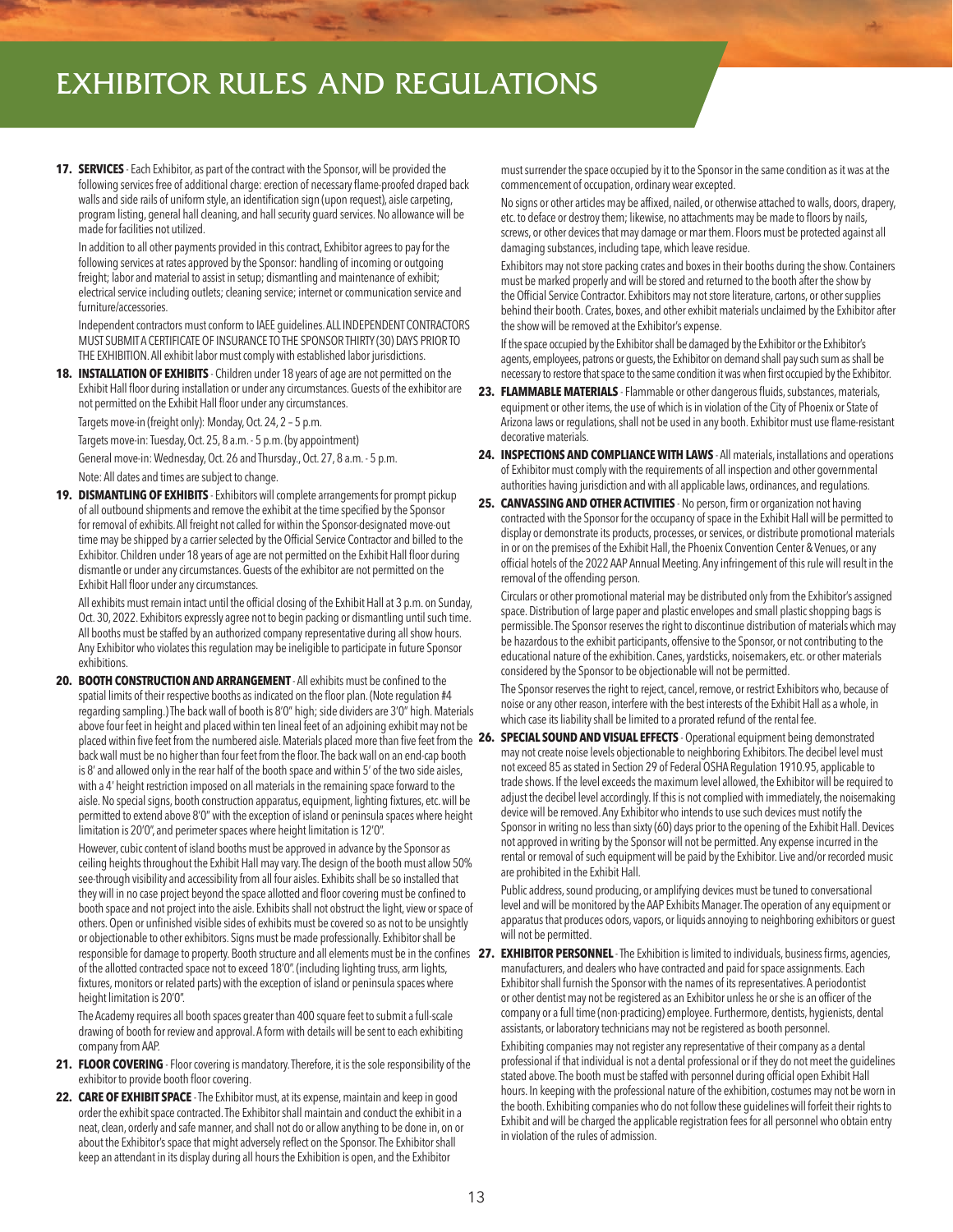## EXHIBITOR RULES AND REGULATIONS

**17. SERVICES** - Each Exhibitor, as part of the contract with the Sponsor, will be provided the following services free of additional charge: erection of necessary flame-proofed draped back walls and side rails of uniform style, an identification sign (upon request), aisle carpeting, program listing, general hall cleaning, and hall security guard services. No allowance will be made for facilities not utilized.

 In addition to all other payments provided in this contract, Exhibitor agrees to pay for the following services at rates approved by the Sponsor: handling of incoming or outgoing freight; labor and material to assist in setup; dismantling and maintenance of exhibit; electrical service including outlets; cleaning service; internet or communication service and furniture/accessories.

 Independent contractors must conform to IAEE guidelines. ALL INDEPENDENT CONTRACTORS MUST SUBMIT A CERTIFICATE OF INSURANCE TO THE SPONSOR THIRTY (30) DAYS PRIOR TO THE EXHIBITION. All exhibit labor must comply with established labor jurisdictions.

**18. INSTALLATION OF EXHIBITS** - Children under 18 years of age are not permitted on the Exhibit Hall floor during installation or under any circumstances. Guests of the exhibitor are not permitted on the Exhibit Hall floor under any circumstances.

Targets move-in (freight only): Monday, Oct. 24, 2 – 5 p.m.

Targets move-in: Tuesday, Oct. 25, 8 a.m. - 5 p.m. (by appointment)

General move-in: Wednesday, Oct. 26 and Thursday., Oct. 27, 8 a.m. - 5 p.m. Note: All dates and times are subject to change.

**19. DISMANTLING OF EXHIBITS** - Exhibitors will complete arrangements for prompt pickup of all outbound shipments and remove the exhibit at the time specified by the Sponsor for removal of exhibits. All freight not called for within the Sponsor-designated move-out time may be shipped by a carrier selected by the Official Service Contractor and billed to the Exhibitor. Children under 18 years of age are not permitted on the Exhibit Hall floor during dismantle or under any circumstances. Guests of the exhibitor are not permitted on the Exhibit Hall floor under any circumstances.

All exhibits must remain intact until the official closing of the Exhibit Hall at 3 p.m. on Sunday, Oct. 30, 2022. Exhibitors expressly agree not to begin packing or dismantling until such time. All booths must be staffed by an authorized company representative during all show hours. Any Exhibitor who violates this regulation may be ineligible to participate in future Sponsor exhibitions.

**20. BOOTH CONSTRUCTION AND ARRANGEMENT** - All exhibits must be confined to the spatial limits of their respective booths as indicated on the floor plan. (Note regulation #4 regarding sampling.) The back wall of booth is 8'0" high; side dividers are 3'0" high. Materials above four feet in height and placed within ten lineal feet of an adjoining exhibit may not be placed within five feet from the numbered aisle. Materials placed more than five feet from the **26. SPECIAL SOUND AND VISUAL EFFECTS** - Operational equipment being demonstrated back wall must be no higher than four feet from the floor. The back wall on an end-cap booth is 8' and allowed only in the rear half of the booth space and within 5' of the two side aisles, with a 4' height restriction imposed on all materials in the remaining space forward to the aisle. No special signs, booth construction apparatus, equipment, lighting fixtures, etc. will be permitted to extend above 8'0" with the exception of island or peninsula spaces where height limitation is 20'0", and perimeter spaces where height limitation is 12'0".

 However, cubic content of island booths must be approved in advance by the Sponsor as ceiling heights throughout the Exhibit Hall may vary. The design of the booth must allow 50% see-through visibility and accessibility from all four aisles. Exhibits shall be so installed that they will in no case project beyond the space allotted and floor covering must be confined to booth space and not project into the aisle. Exhibits shall not obstruct the light, view or space of others. Open or unfinished visible sides of exhibits must be covered so as not to be unsightly or objectionable to other exhibitors. Signs must be made professionally. Exhibitor shall be of the allotted contracted space not to exceed 18'0". (including lighting truss, arm lights, fixtures, monitors or related parts) with the exception of island or peninsula spaces where height limitation is 20'0".

 The Academy requires all booth spaces greater than 400 square feet to submit a full-scale drawing of booth for review and approval. A form with details will be sent to each exhibiting company from AAP.

- **21. FLOOR COVERING**  Floor covering is mandatory. Therefore, it is the sole responsibility of the exhibitor to provide booth floor covering.
- **22. CARE OF EXHIBIT SPACE**  The Exhibitor must, at its expense, maintain and keep in good order the exhibit space contracted. The Exhibitor shall maintain and conduct the exhibit in a neat, clean, orderly and safe manner, and shall not do or allow anything to be done in, on or about the Exhibitor's space that might adversely reflect on the Sponsor. The Exhibitor shall keep an attendant in its display during all hours the Exhibition is open, and the Exhibitor

must surrender the space occupied by it to the Sponsor in the same condition as it was at the commencement of occupation, ordinary wear excepted.

No signs or other articles may be affixed, nailed, or otherwise attached to walls, doors, drapery, etc. to deface or destroy them; likewise, no attachments may be made to floors by nails, screws, or other devices that may damage or mar them. Floors must be protected against all damaging substances, including tape, which leave residue.

 Exhibitors may not store packing crates and boxes in their booths during the show. Containers must be marked properly and will be stored and returned to the booth after the show by the Official Service Contractor. Exhibitors may not store literature, cartons, or other supplies behind their booth. Crates, boxes, and other exhibit materials unclaimed by the Exhibitor after the show will be removed at the Exhibitor's expense.

 If the space occupied by the Exhibitor shall be damaged by the Exhibitor or the Exhibitor's agents, employees, patrons or guests, the Exhibitor on demand shall pay such sum as shall be necessary to restore that space to the same condition it was when first occupied by the Exhibitor.

- **23. FLAMMABLE MATERIALS**  Flammable or other dangerous fluids, substances, materials, equipment or other items, the use of which is in violation of the City of Phoenix or State of Arizona laws or regulations, shall not be used in any booth. Exhibitor must use flame-resistant decorative materials.
- **24. INSPECTIONS AND COMPLIANCE WITH LAWS** All materials, installations and operations of Exhibitor must comply with the requirements of all inspection and other governmental authorities having jurisdiction and with all applicable laws, ordinances, and regulations.
- **25. CANVASSING AND OTHER ACTIVITIES** No person, firm or organization not having contracted with the Sponsor for the occupancy of space in the Exhibit Hall will be permitted to display or demonstrate its products, processes, or services, or distribute promotional materials in or on the premises of the Exhibit Hall, the Phoenix Convention Center & Venues, or any official hotels of the 2022 AAP Annual Meeting. Any infringement of this rule will result in the removal of the offending person.

 Circulars or other promotional material may be distributed only from the Exhibitor's assigned space. Distribution of large paper and plastic envelopes and small plastic shopping bags is permissible. The Sponsor reserves the right to discontinue distribution of materials which may be hazardous to the exhibit participants, offensive to the Sponsor, or not contributing to the educational nature of the exhibition. Canes, yardsticks, noisemakers, etc. or other materials considered by the Sponsor to be objectionable will not be permitted.

The Sponsor reserves the right to reject, cancel, remove, or restrict Exhibitors who, because of noise or any other reason, interfere with the best interests of the Exhibit Hall as a whole, in which case its liability shall be limited to a prorated refund of the rental fee.

may not create noise levels objectionable to neighboring Exhibitors. The decibel level must not exceed 85 as stated in Section 29 of Federal OSHA Regulation 1910.95, applicable to trade shows. If the level exceeds the maximum level allowed, the Exhibitor will be required to adjust the decibel level accordingly. If this is not complied with immediately, the noisemaking device will be removed. Any Exhibitor who intends to use such devices must notify the Sponsor in writing no less than sixty (60) days prior to the opening of the Exhibit Hall. Devices not approved in writing by the Sponsor will not be permitted. Any expense incurred in the rental or removal of such equipment will be paid by the Exhibitor. Live and/or recorded music are prohibited in the Exhibit Hall.

 Public address, sound producing, or amplifying devices must be tuned to conversational level and will be monitored by the AAP Exhibits Manager. The operation of any equipment or apparatus that produces odors, vapors, or liquids annoying to neighboring exhibitors or guest will not be permitted.

responsible for damage to property. Booth structure and all elements must be in the confines **27. EXHIBITOR PERSONNEL** - The Exhibition is limited to individuals, business firms, agencies, manufacturers, and dealers who have contracted and paid for space assignments. Each Exhibitor shall furnish the Sponsor with the names of its representatives. A periodontist or other dentist may not be registered as an Exhibitor unless he or she is an officer of the company or a full time (non-practicing) employee. Furthermore, dentists, hygienists, dental assistants, or laboratory technicians may not be registered as booth personnel.

> Exhibiting companies may not register any representative of their company as a dental professional if that individual is not a dental professional or if they do not meet the guidelines stated above. The booth must be staffed with personnel during official open Exhibit Hall hours. In keeping with the professional nature of the exhibition, costumes may not be worn in the booth. Exhibiting companies who do not follow these guidelines will forfeit their rights to Exhibit and will be charged the applicable registration fees for all personnel who obtain entry in violation of the rules of admission.